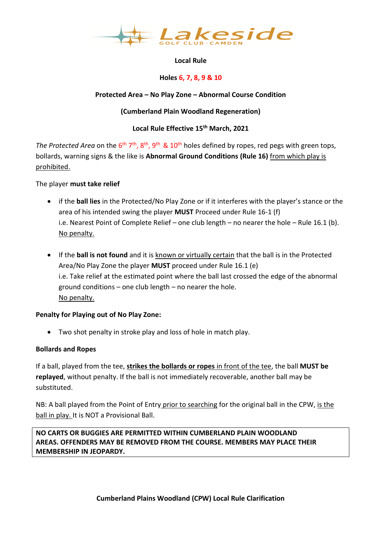

# **Local Rule**

## **Holes 6, 7, 8, 9 & 10**

## **Protected Area – No Play Zone – Abnormal Course Condition**

## **(Cumberland Plain Woodland Regeneration)**

## **Local Rule Effective 15th March, 2021**

The Protected Area on the 6<sup>th</sup> 7<sup>th</sup>, 8<sup>th</sup>, 9<sup>th</sup> & 10<sup>th</sup> holes defined by ropes, red pegs with green tops, bollards, warning signs & the like is **Abnormal Ground Conditions (Rule 16)** from which play is prohibited.

### The player **must take relief**

- if the **ball lies** in the Protected/No Play Zone or if it interferes with the player's stance or the area of his intended swing the player **MUST** Proceed under Rule 16-1 (f) i.e. Nearest Point of Complete Relief – one club length – no nearer the hole – Rule 16.1 (b). No penalty.
- If the **ball is not found** and it is known or virtually certain that the ball is in the Protected Area/No Play Zone the player **MUST** proceed under Rule 16.1 (e) i.e. Take relief at the estimated point where the ball last crossed the edge of the abnormal ground conditions – one club length – no nearer the hole. No penalty.

### **Penalty for Playing out of No Play Zone:**

• Two shot penalty in stroke play and loss of hole in match play.

### **Bollards and Ropes**

If a ball, played from the tee, **strikes the bollards or ropes** in front of the tee, the ball **MUST be replayed**, without penalty. If the ball is not immediately recoverable, another ball may be substituted.

NB: A ball played from the Point of Entry prior to searching for the original ball in the CPW, is the ball in play. It is NOT a Provisional Ball.

**NO CARTS OR BUGGIES ARE PERMITTED WITHIN CUMBERLAND PLAIN WOODLAND AREAS. OFFENDERS MAY BE REMOVED FROM THE COURSE. MEMBERS MAY PLACE THEIR MEMBERSHIP IN JEOPARDY.**